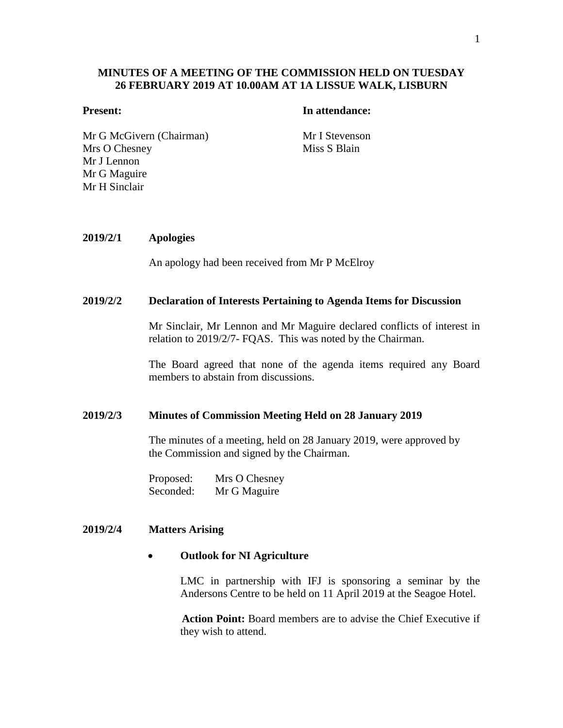# **MINUTES OF A MEETING OF THE COMMISSION HELD ON TUESDAY 26 FEBRUARY 2019 AT 10.00AM AT 1A LISSUE WALK, LISBURN**

#### **Present: In attendance:**

Mr G McGivern (Chairman) Mr I Stevenson Mrs O Chesney Mr J Lennon Mr G Maguire Mr H Sinclair

Miss S Blain

# **2019/2/1 Apologies**

An apology had been received from Mr P McElroy

#### **2019/2/2 Declaration of Interests Pertaining to Agenda Items for Discussion**

Mr Sinclair, Mr Lennon and Mr Maguire declared conflicts of interest in relation to 2019/2/7- FQAS. This was noted by the Chairman.

The Board agreed that none of the agenda items required any Board members to abstain from discussions.

#### **2019/2/3 Minutes of Commission Meeting Held on 28 January 2019**

The minutes of a meeting, held on 28 January 2019, were approved by the Commission and signed by the Chairman.

Proposed: Mrs O Chesney Seconded: Mr G Maguire

### **2019/2/4 Matters Arising**

## **Outlook for NI Agriculture**

LMC in partnership with IFJ is sponsoring a seminar by the Andersons Centre to be held on 11 April 2019 at the Seagoe Hotel.

**Action Point:** Board members are to advise the Chief Executive if they wish to attend.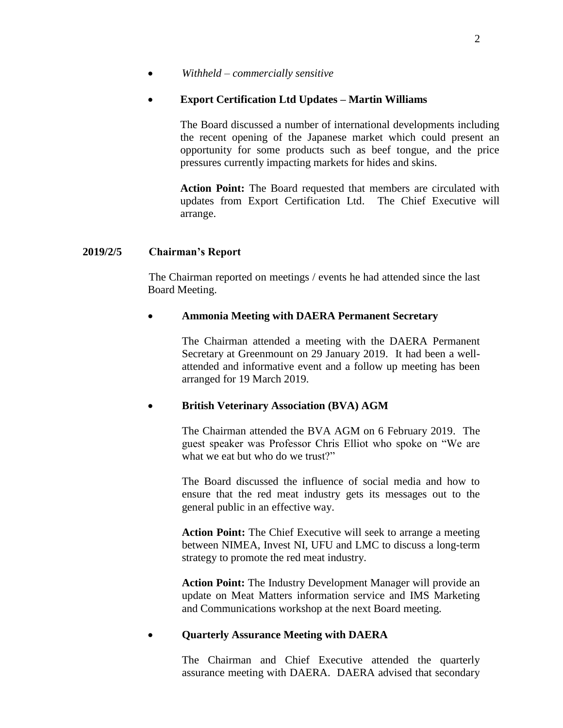*Withheld – commercially sensitive*

# **Export Certification Ltd Updates – Martin Williams**

The Board discussed a number of international developments including the recent opening of the Japanese market which could present an opportunity for some products such as beef tongue, and the price pressures currently impacting markets for hides and skins.

**Action Point:** The Board requested that members are circulated with updates from Export Certification Ltd. The Chief Executive will arrange.

# **2019/2/5 Chairman's Report**

The Chairman reported on meetings / events he had attended since the last Board Meeting.

# **Ammonia Meeting with DAERA Permanent Secretary**

The Chairman attended a meeting with the DAERA Permanent Secretary at Greenmount on 29 January 2019. It had been a wellattended and informative event and a follow up meeting has been arranged for 19 March 2019.

# **British Veterinary Association (BVA) AGM**

The Chairman attended the BVA AGM on 6 February 2019. The guest speaker was Professor Chris Elliot who spoke on "We are what we eat but who do we trust?"

The Board discussed the influence of social media and how to ensure that the red meat industry gets its messages out to the general public in an effective way.

**Action Point:** The Chief Executive will seek to arrange a meeting between NIMEA, Invest NI, UFU and LMC to discuss a long-term strategy to promote the red meat industry.

**Action Point:** The Industry Development Manager will provide an update on Meat Matters information service and IMS Marketing and Communications workshop at the next Board meeting.

# **Quarterly Assurance Meeting with DAERA**

The Chairman and Chief Executive attended the quarterly assurance meeting with DAERA. DAERA advised that secondary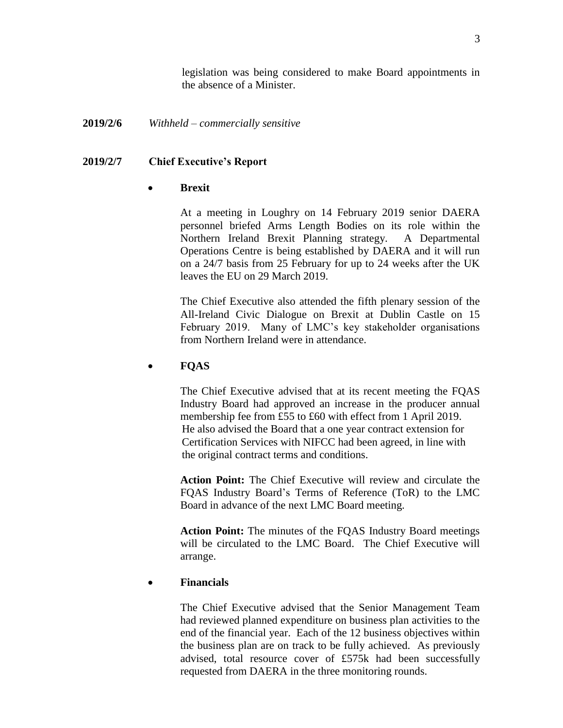legislation was being considered to make Board appointments in the absence of a Minister.

# **2019/2/6** *Withheld – commercially sensitive*

# **2019/2/7 Chief Executive's Report**

# **Brexit**

At a meeting in Loughry on 14 February 2019 senior DAERA personnel briefed Arms Length Bodies on its role within the Northern Ireland Brexit Planning strategy. A Departmental Operations Centre is being established by DAERA and it will run on a 24/7 basis from 25 February for up to 24 weeks after the UK leaves the EU on 29 March 2019.

The Chief Executive also attended the fifth plenary session of the All-Ireland Civic Dialogue on Brexit at Dublin Castle on 15 February 2019. Many of LMC's key stakeholder organisations from Northern Ireland were in attendance.

# **FQAS**

The Chief Executive advised that at its recent meeting the FQAS Industry Board had approved an increase in the producer annual membership fee from £55 to £60 with effect from 1 April 2019. He also advised the Board that a one year contract extension for Certification Services with NIFCC had been agreed, in line with the original contract terms and conditions.

**Action Point:** The Chief Executive will review and circulate the FQAS Industry Board's Terms of Reference (ToR) to the LMC Board in advance of the next LMC Board meeting.

**Action Point:** The minutes of the FQAS Industry Board meetings will be circulated to the LMC Board. The Chief Executive will arrange.

# **Financials**

The Chief Executive advised that the Senior Management Team had reviewed planned expenditure on business plan activities to the end of the financial year. Each of the 12 business objectives within the business plan are on track to be fully achieved. As previously advised, total resource cover of £575k had been successfully requested from DAERA in the three monitoring rounds.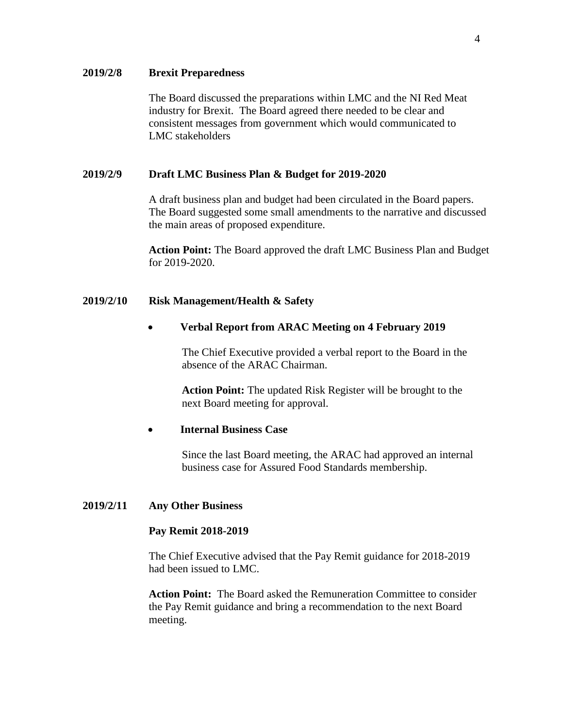### **2019/2/8 Brexit Preparedness**

The Board discussed the preparations within LMC and the NI Red Meat industry for Brexit. The Board agreed there needed to be clear and consistent messages from government which would communicated to LMC stakeholders

#### **2019/2/9 Draft LMC Business Plan & Budget for 2019-2020**

A draft business plan and budget had been circulated in the Board papers. The Board suggested some small amendments to the narrative and discussed the main areas of proposed expenditure.

**Action Point:** The Board approved the draft LMC Business Plan and Budget for 2019-2020.

#### **2019/2/10 Risk Management/Health & Safety**

#### **Verbal Report from ARAC Meeting on 4 February 2019**

The Chief Executive provided a verbal report to the Board in the absence of the ARAC Chairman.

**Action Point:** The updated Risk Register will be brought to the next Board meeting for approval.

# **Internal Business Case**

Since the last Board meeting, the ARAC had approved an internal business case for Assured Food Standards membership.

#### **2019/2/11 Any Other Business**

### **Pay Remit 2018-2019**

The Chief Executive advised that the Pay Remit guidance for 2018-2019 had been issued to LMC.

**Action Point:** The Board asked the Remuneration Committee to consider the Pay Remit guidance and bring a recommendation to the next Board meeting.